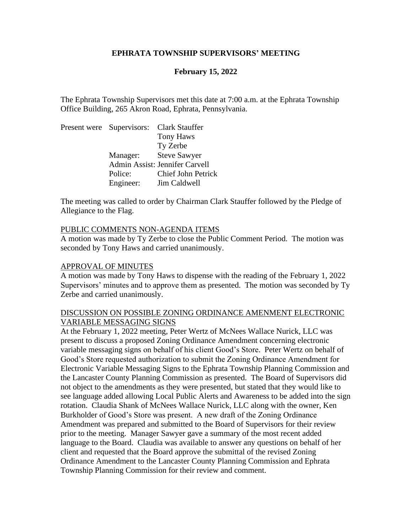### **EPHRATA TOWNSHIP SUPERVISORS' MEETING**

## **February 15, 2022**

The Ephrata Township Supervisors met this date at 7:00 a.m. at the Ephrata Township Office Building, 265 Akron Road, Ephrata, Pennsylvania.

| Present were Supervisors: Clark Stauffer |                                |
|------------------------------------------|--------------------------------|
|                                          | <b>Tony Haws</b>               |
|                                          | Ty Zerbe                       |
| Manager: Steve Sawyer                    |                                |
|                                          | Admin Assist: Jennifer Carvell |
| Police:                                  | <b>Chief John Petrick</b>      |
| Engineer:                                | Jim Caldwell                   |

The meeting was called to order by Chairman Clark Stauffer followed by the Pledge of Allegiance to the Flag.

#### PUBLIC COMMENTS NON-AGENDA ITEMS

A motion was made by Ty Zerbe to close the Public Comment Period. The motion was seconded by Tony Haws and carried unanimously.

#### APPROVAL OF MINUTES

A motion was made by Tony Haws to dispense with the reading of the February 1, 2022 Supervisors' minutes and to approve them as presented. The motion was seconded by Ty Zerbe and carried unanimously.

### DISCUSSION ON POSSIBLE ZONING ORDINANCE AMENMENT ELECTRONIC VARIABLE MESSAGING SIGNS

At the February 1, 2022 meeting, Peter Wertz of McNees Wallace Nurick, LLC was present to discuss a proposed Zoning Ordinance Amendment concerning electronic variable messaging signs on behalf of his client Good's Store. Peter Wertz on behalf of Good's Store requested authorization to submit the Zoning Ordinance Amendment for Electronic Variable Messaging Signs to the Ephrata Township Planning Commission and the Lancaster County Planning Commission as presented. The Board of Supervisors did not object to the amendments as they were presented, but stated that they would like to see language added allowing Local Public Alerts and Awareness to be added into the sign rotation. Claudia Shank of McNees Wallace Nurick, LLC along with the owner, Ken Burkholder of Good's Store was present. A new draft of the Zoning Ordinance Amendment was prepared and submitted to the Board of Supervisors for their review prior to the meeting. Manager Sawyer gave a summary of the most recent added language to the Board. Claudia was available to answer any questions on behalf of her client and requested that the Board approve the submittal of the revised Zoning Ordinance Amendment to the Lancaster County Planning Commission and Ephrata Township Planning Commission for their review and comment.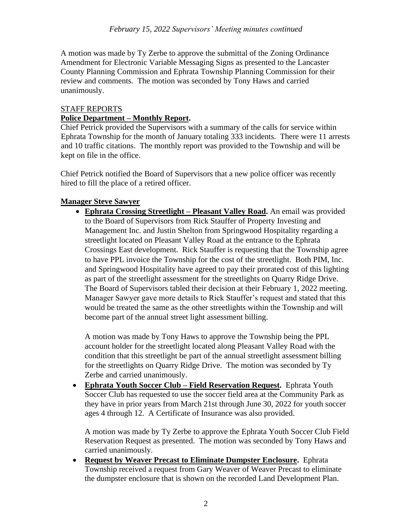A motion was made by Ty Zerbe to approve the submittal of the Zoning Ordinance Amendment for Electronic Variable Messaging Signs as presented to the Lancaster County Planning Commission and Ephrata Township Planning Commission for their review and comments. The motion was seconded by Tony Haws and carried unanimously.

## STAFF REPORTS

# **Police Department – Monthly Report.**

Chief Petrick provided the Supervisors with a summary of the calls for service within Ephrata Township for the month of January totaling 333 incidents. There were 11 arrests and 10 traffic citations. The monthly report was provided to the Township and will be kept on file in the office.

Chief Petrick notified the Board of Supervisors that a new police officer was recently hired to fill the place of a retired officer.

# **Manager Steve Sawyer**

• **Ephrata Crossing Streetlight – Pleasant Valley Road.** An email was provided to the Board of Supervisors from Rick Stauffer of Property Investing and Management Inc. and Justin Shelton from Springwood Hospitality regarding a streetlight located on Pleasant Valley Road at the entrance to the Ephrata Crossings East development. Rick Stauffer is requesting that the Township agree to have PPL invoice the Township for the cost of the streetlight. Both PIM, Inc. and Springwood Hospitality have agreed to pay their prorated cost of this lighting as part of the streetlight assessment for the streetlights on Quarry Ridge Drive. The Board of Supervisors tabled their decision at their February 1, 2022 meeting. Manager Sawyer gave more details to Rick Stauffer's request and stated that this would be treated the same as the other streetlights within the Township and will become part of the annual street light assessment billing.

A motion was made by Tony Haws to approve the Township being the PPL account holder for the streetlight located along Pleasant Valley Road with the condition that this streetlight be part of the annual streetlight assessment billing for the streetlights on Quarry Ridge Drive. The motion was seconded by Ty Zerbe and carried unanimously.

• **Ephrata Youth Soccer Club – Field Reservation Request.** Ephrata Youth Soccer Club has requested to use the soccer field area at the Community Park as they have in prior years from March 21st through June 30, 2022 for youth soccer ages 4 through 12. A Certificate of Insurance was also provided.

A motion was made by Ty Zerbe to approve the Ephrata Youth Soccer Club Field Reservation Request as presented. The motion was seconded by Tony Haws and carried unanimously.

• **Request by Weaver Precast to Eliminate Dumpster Enclosure.** Ephrata Township received a request from Gary Weaver of Weaver Precast to eliminate the dumpster enclosure that is shown on the recorded Land Development Plan.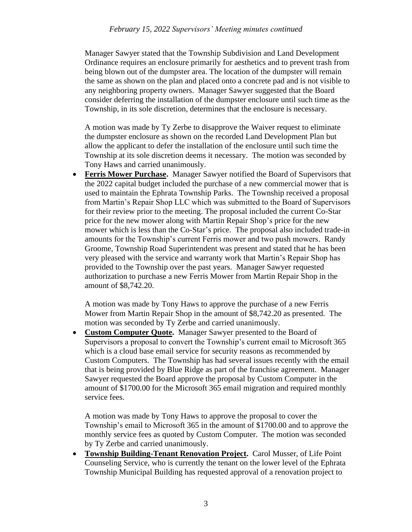Manager Sawyer stated that the Township Subdivision and Land Development Ordinance requires an enclosure primarily for aesthetics and to prevent trash from being blown out of the dumpster area. The location of the dumpster will remain the same as shown on the plan and placed onto a concrete pad and is not visible to any neighboring property owners. Manager Sawyer suggested that the Board consider deferring the installation of the dumpster enclosure until such time as the Township, in its sole discretion, determines that the enclosure is necessary.

A motion was made by Ty Zerbe to disapprove the Waiver request to eliminate the dumpster enclosure as shown on the recorded Land Development Plan but allow the applicant to defer the installation of the enclosure until such time the Township at its sole discretion deems it necessary. The motion was seconded by Tony Haws and carried unanimously.

• **Ferris Mower Purchase.** Manager Sawyer notified the Board of Supervisors that the 2022 capital budget included the purchase of a new commercial mower that is used to maintain the Ephrata Township Parks. The Township received a proposal from Martin's Repair Shop LLC which was submitted to the Board of Supervisors for their review prior to the meeting. The proposal included the current Co-Star price for the new mower along with Martin Repair Shop's price for the new mower which is less than the Co-Star's price. The proposal also included trade-in amounts for the Township's current Ferris mower and two push mowers. Randy Groome, Township Road Superintendent was present and stated that he has been very pleased with the service and warranty work that Martin's Repair Shop has provided to the Township over the past years. Manager Sawyer requested authorization to purchase a new Ferris Mower from Martin Repair Shop in the amount of \$8,742.20.

A motion was made by Tony Haws to approve the purchase of a new Ferris Mower from Martin Repair Shop in the amount of \$8,742.20 as presented. The motion was seconded by Ty Zerbe and carried unanimously.

• **Custom Computer Quote.** Manager Sawyer presented to the Board of Supervisors a proposal to convert the Township's current email to Microsoft 365 which is a cloud base email service for security reasons as recommended by Custom Computers. The Township has had several issues recently with the email that is being provided by Blue Ridge as part of the franchise agreement. Manager Sawyer requested the Board approve the proposal by Custom Computer in the amount of \$1700.00 for the Microsoft 365 email migration and required monthly service fees.

A motion was made by Tony Haws to approve the proposal to cover the Township's email to Microsoft 365 in the amount of \$1700.00 and to approve the monthly service fees as quoted by Custom Computer. The motion was seconded by Ty Zerbe and carried unanimously.

• **Township Building-Tenant Renovation Project.** Carol Musser, of Life Point Counseling Service, who is currently the tenant on the lower level of the Ephrata Township Municipal Building has requested approval of a renovation project to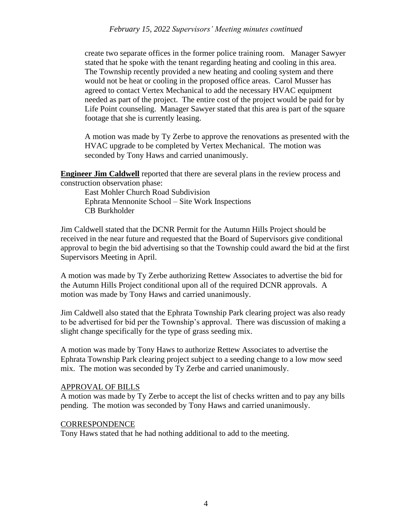create two separate offices in the former police training room. Manager Sawyer stated that he spoke with the tenant regarding heating and cooling in this area. The Township recently provided a new heating and cooling system and there would not be heat or cooling in the proposed office areas. Carol Musser has agreed to contact Vertex Mechanical to add the necessary HVAC equipment needed as part of the project. The entire cost of the project would be paid for by Life Point counseling. Manager Sawyer stated that this area is part of the square footage that she is currently leasing.

A motion was made by Ty Zerbe to approve the renovations as presented with the HVAC upgrade to be completed by Vertex Mechanical. The motion was seconded by Tony Haws and carried unanimously.

**Engineer Jim Caldwell** reported that there are several plans in the review process and construction observation phase:

East Mohler Church Road Subdivision Ephrata Mennonite School – Site Work Inspections CB Burkholder

Jim Caldwell stated that the DCNR Permit for the Autumn Hills Project should be received in the near future and requested that the Board of Supervisors give conditional approval to begin the bid advertising so that the Township could award the bid at the first Supervisors Meeting in April.

A motion was made by Ty Zerbe authorizing Rettew Associates to advertise the bid for the Autumn Hills Project conditional upon all of the required DCNR approvals. A motion was made by Tony Haws and carried unanimously.

Jim Caldwell also stated that the Ephrata Township Park clearing project was also ready to be advertised for bid per the Township's approval. There was discussion of making a slight change specifically for the type of grass seeding mix.

A motion was made by Tony Haws to authorize Rettew Associates to advertise the Ephrata Township Park clearing project subject to a seeding change to a low mow seed mix. The motion was seconded by Ty Zerbe and carried unanimously.

## APPROVAL OF BILLS

A motion was made by Ty Zerbe to accept the list of checks written and to pay any bills pending. The motion was seconded by Tony Haws and carried unanimously.

### **CORRESPONDENCE**

Tony Haws stated that he had nothing additional to add to the meeting.